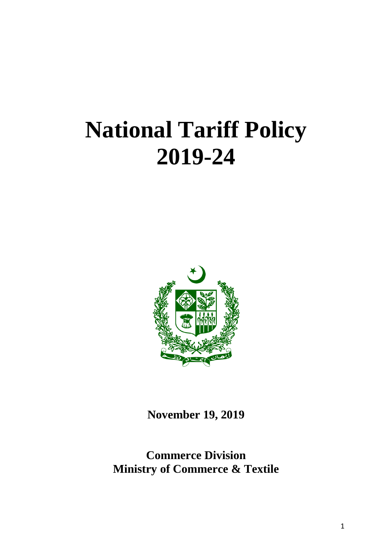# **National Tariff Policy 2019-24**



**November 19, 2019**

**Commerce Division Ministry of Commerce & Textile**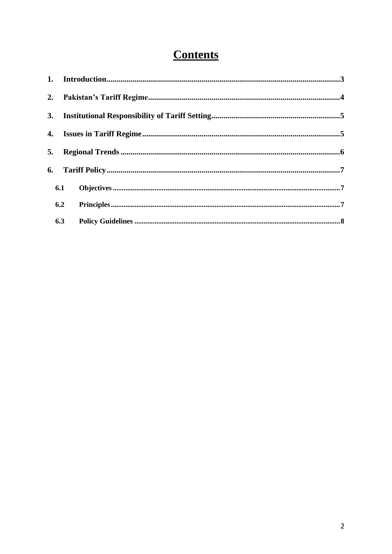## **Contents**

| 3. |     |  |
|----|-----|--|
|    |     |  |
| 5. |     |  |
| 6. |     |  |
|    | 6.1 |  |
|    | 6.2 |  |
|    | 6.3 |  |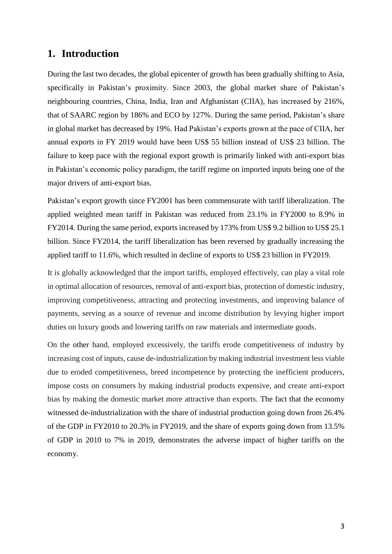## **1. Introduction**

During the last two decades, the global epicenter of growth has been gradually shifting to Asia, specifically in Pakistan's proximity. Since 2003, the global market share of Pakistan's neighbouring countries, China, India, Iran and Afghanistan (CIIA), has increased by 216%, that of SAARC region by 186% and ECO by 127%. During the same period, Pakistan's share in global market has decreased by 19%. Had Pakistan's exports grown at the pace of CIIA, her annual exports in FY 2019 would have been US\$ 55 billion instead of US\$ 23 billion. The failure to keep pace with the regional export growth is primarily linked with anti-export bias in Pakistan's economic policy paradigm, the tariff regime on imported inputs being one of the major drivers of anti-export bias.

Pakistan's export growth since FY2001 has been commensurate with tariff liberalization. The applied weighted mean tariff in Pakistan was reduced from 23.1% in FY2000 to 8.9% in FY2014. During the same period, exports increased by 173% from US\$ 9.2 billion to US\$ 25.1 billion. Since FY2014, the tariff liberalization has been reversed by gradually increasing the applied tariff to 11.6%, which resulted in decline of exports to US\$ 23 billion in FY2019.

It is globally acknowledged that the import tariffs, employed effectively, can play a vital role in optimal allocation of resources, removal of anti-export bias, protection of domestic industry, improving competitiveness, attracting and protecting investments, and improving balance of payments, serving as a source of revenue and income distribution by levying higher import duties on luxury goods and lowering tariffs on raw materials and intermediate goods.

On the other hand, employed excessively, the tariffs erode competitiveness of industry by increasing cost of inputs, cause de-industrialization by making industrial investment less viable due to eroded competitiveness, breed incompetence by protecting the inefficient producers, impose costs on consumers by making industrial products expensive, and create anti-export bias by making the domestic market more attractive than exports. The fact that the economy witnessed de-industrialization with the share of industrial production going down from 26.4% of the GDP in FY2010 to 20.3% in FY2019, and the share of exports going down from 13.5% of GDP in 2010 to 7% in 2019, demonstrates the adverse impact of higher tariffs on the economy.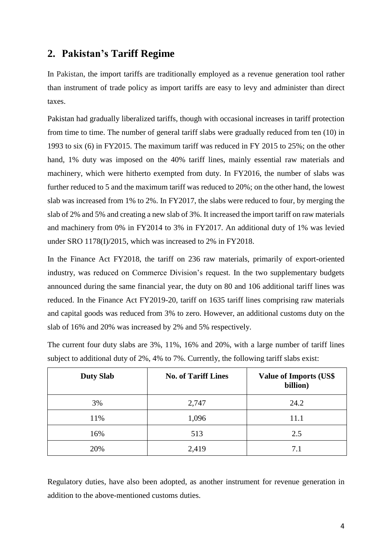## **2. Pakistan's Tariff Regime**

In Pakistan, the import tariffs are traditionally employed as a revenue generation tool rather than instrument of trade policy as import tariffs are easy to levy and administer than direct taxes.

Pakistan had gradually liberalized tariffs, though with occasional increases in tariff protection from time to time. The number of general tariff slabs were gradually reduced from ten (10) in 1993 to six (6) in FY2015. The maximum tariff was reduced in FY 2015 to 25%; on the other hand, 1% duty was imposed on the 40% tariff lines, mainly essential raw materials and machinery, which were hitherto exempted from duty. In FY2016, the number of slabs was further reduced to 5 and the maximum tariff was reduced to 20%; on the other hand, the lowest slab was increased from 1% to 2%. In FY2017, the slabs were reduced to four, by merging the slab of 2% and 5% and creating a new slab of 3%. It increased the import tariff on raw materials and machinery from 0% in FY2014 to 3% in FY2017. An additional duty of 1% was levied under SRO 1178(I)/2015, which was increased to 2% in FY2018.

In the Finance Act FY2018, the tariff on 236 raw materials, primarily of export-oriented industry, was reduced on Commerce Division's request. In the two supplementary budgets announced during the same financial year, the duty on 80 and 106 additional tariff lines was reduced. In the Finance Act FY2019-20, tariff on 1635 tariff lines comprising raw materials and capital goods was reduced from 3% to zero. However, an additional customs duty on the slab of 16% and 20% was increased by 2% and 5% respectively.

The current four duty slabs are 3%, 11%, 16% and 20%, with a large number of tariff lines subject to additional duty of 2%, 4% to 7%. Currently, the following tariff slabs exist:

| <b>Duty Slab</b> | <b>No. of Tariff Lines</b> | <b>Value of Imports (US\$)</b><br>billion) |
|------------------|----------------------------|--------------------------------------------|
| 3%               | 2,747                      | 24.2                                       |
| 11%              | 1,096                      | 11.1                                       |
| 16%              | 513                        | 2.5                                        |
| 20%              | 2,419                      | 7.1                                        |

Regulatory duties, have also been adopted, as another instrument for revenue generation in addition to the above-mentioned customs duties.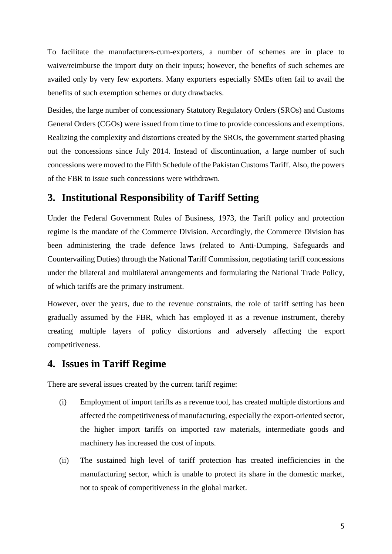To facilitate the manufacturers-cum-exporters, a number of schemes are in place to waive/reimburse the import duty on their inputs; however, the benefits of such schemes are availed only by very few exporters. Many exporters especially SMEs often fail to avail the benefits of such exemption schemes or duty drawbacks.

Besides, the large number of concessionary Statutory Regulatory Orders (SROs) and Customs General Orders (CGOs) were issued from time to time to provide concessions and exemptions. Realizing the complexity and distortions created by the SROs, the government started phasing out the concessions since July 2014. Instead of discontinuation, a large number of such concessions were moved to the Fifth Schedule of the Pakistan Customs Tariff. Also, the powers of the FBR to issue such concessions were withdrawn.

## **3. Institutional Responsibility of Tariff Setting**

Under the Federal Government Rules of Business, 1973, the Tariff policy and protection regime is the mandate of the Commerce Division. Accordingly, the Commerce Division has been administering the trade defence laws (related to Anti-Dumping, Safeguards and Countervailing Duties) through the National Tariff Commission, negotiating tariff concessions under the bilateral and multilateral arrangements and formulating the National Trade Policy, of which tariffs are the primary instrument.

However, over the years, due to the revenue constraints, the role of tariff setting has been gradually assumed by the FBR, which has employed it as a revenue instrument, thereby creating multiple layers of policy distortions and adversely affecting the export competitiveness.

## **4. Issues in Tariff Regime**

There are several issues created by the current tariff regime:

- (i) Employment of import tariffs as a revenue tool, has created multiple distortions and affected the competitiveness of manufacturing, especially the export-oriented sector, the higher import tariffs on imported raw materials, intermediate goods and machinery has increased the cost of inputs.
- (ii) The sustained high level of tariff protection has created inefficiencies in the manufacturing sector, which is unable to protect its share in the domestic market, not to speak of competitiveness in the global market.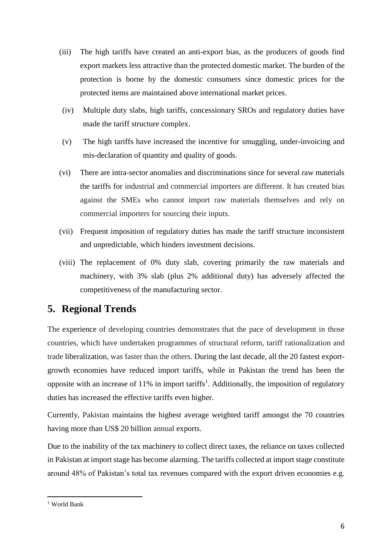- (iii) The high tariffs have created an anti-export bias, as the producers of goods find export markets less attractive than the protected domestic market. The burden of the protection is borne by the domestic consumers since domestic prices for the protected items are maintained above international market prices.
- (iv) Multiple duty slabs, high tariffs, concessionary SROs and regulatory duties have made the tariff structure complex.
- (v) The high tariffs have increased the incentive for smuggling, under-invoicing and mis-declaration of quantity and quality of goods.
- (vi) There are intra-sector anomalies and discriminations since for several raw materials the tariffs for industrial and commercial importers are different. It has created bias against the SMEs who cannot import raw materials themselves and rely on commercial importers for sourcing their inputs.
- (vii) Frequent imposition of regulatory duties has made the tariff structure inconsistent and unpredictable, which hinders investment decisions.
- (viii) The replacement of 0% duty slab, covering primarily the raw materials and machinery, with 3% slab (plus 2% additional duty) has adversely affected the competitiveness of the manufacturing sector.

## **5. Regional Trends**

The experience of developing countries demonstrates that the pace of development in those countries, which have undertaken programmes of structural reform, tariff rationalization and trade liberalization, was faster than the others. During the last decade, all the 20 fastest exportgrowth economies have reduced import tariffs, while in Pakistan the trend has been the opposite with an increase of  $11\%$  in import tariffs<sup>1</sup>. Additionally, the imposition of regulatory duties has increased the effective tariffs even higher.

Currently, Pakistan maintains the highest average weighted tariff amongst the 70 countries having more than US\$ 20 billion annual exports.

Due to the inability of the tax machinery to collect direct taxes, the reliance on taxes collected in Pakistan at import stage has become alarming. The tariffs collected at import stage constitute around 48% of Pakistan's total tax revenues compared with the export driven economies e.g.

 $\overline{a}$ <sup>1</sup> World Bank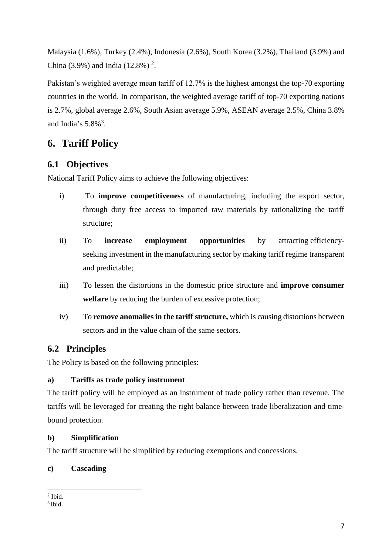Malaysia (1.6%), Turkey (2.4%), Indonesia (2.6%), South Korea (3.2%), Thailand (3.9%) and China (3.9%) and India (12.8%)<sup>2</sup>.

Pakistan's weighted average mean tariff of 12.7% is the highest amongst the top-70 exporting countries in the world. In comparison, the weighted average tariff of top-70 exporting nations is 2.7%, global average 2.6%, South Asian average 5.9%, ASEAN average 2.5%, China 3.8% and India's  $5.8\%$ <sup>3</sup>.

## **6. Tariff Policy**

## **6.1 Objectives**

National Tariff Policy aims to achieve the following objectives:

- i) To **improve competitiveness** of manufacturing, including the export sector, through duty free access to imported raw materials by rationalizing the tariff structure;
- ii) To **increase employment opportunities** by attracting efficiencyseeking investment in the manufacturing sector by making tariff regime transparent and predictable;
- iii) To lessen the distortions in the domestic price structure and **improve consumer**  welfare by reducing the burden of excessive protection;
- iv) To **remove anomalies in the tariff structure,** which is causing distortions between sectors and in the value chain of the same sectors.

## **6.2 Principles**

The Policy is based on the following principles:

#### **a) Tariffs as trade policy instrument**

The tariff policy will be employed as an instrument of trade policy rather than revenue. The tariffs will be leveraged for creating the right balance between trade liberalization and timebound protection.

#### **b) Simplification**

The tariff structure will be simplified by reducing exemptions and concessions.

## **c) Cascading**

l  $<sup>2</sup>$  Ibid.</sup>

<sup>3</sup> Ibid.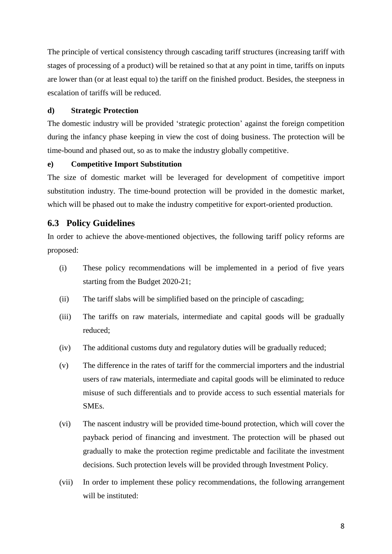The principle of vertical consistency through cascading tariff structures (increasing tariff with stages of processing of a product) will be retained so that at any point in time, tariffs on inputs are lower than (or at least equal to) the tariff on the finished product. Besides, the steepness in escalation of tariffs will be reduced.

#### **d) Strategic Protection**

The domestic industry will be provided 'strategic protection' against the foreign competition during the infancy phase keeping in view the cost of doing business. The protection will be time-bound and phased out, so as to make the industry globally competitive.

#### **e) Competitive Import Substitution**

The size of domestic market will be leveraged for development of competitive import substitution industry. The time-bound protection will be provided in the domestic market, which will be phased out to make the industry competitive for export-oriented production.

#### **6.3 Policy Guidelines**

In order to achieve the above-mentioned objectives, the following tariff policy reforms are proposed:

- (i) These policy recommendations will be implemented in a period of five years starting from the Budget 2020-21;
- (ii) The tariff slabs will be simplified based on the principle of cascading;
- (iii) The tariffs on raw materials, intermediate and capital goods will be gradually reduced;
- (iv) The additional customs duty and regulatory duties will be gradually reduced;
- (v) The difference in the rates of tariff for the commercial importers and the industrial users of raw materials, intermediate and capital goods will be eliminated to reduce misuse of such differentials and to provide access to such essential materials for SMEs.
- (vi) The nascent industry will be provided time-bound protection, which will cover the payback period of financing and investment. The protection will be phased out gradually to make the protection regime predictable and facilitate the investment decisions. Such protection levels will be provided through Investment Policy.
- (vii) In order to implement these policy recommendations, the following arrangement will be instituted: